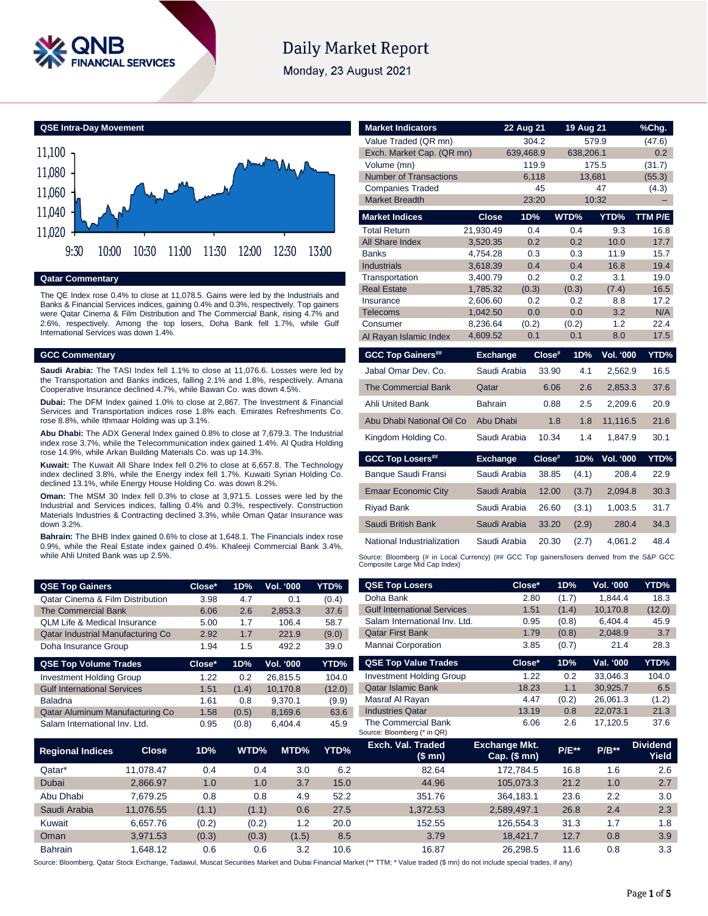

# **Daily Market Report**

Monday, 23 August 2021

**QSE Intra-Day Movement**



## **Qatar Commentary**

The QE Index rose 0.4% to close at 11,078.5. Gains were led by the Industrials and Banks & Financial Services indices, gaining 0.4% and 0.3%, respectively. Top gainers were Qatar Cinema & Film Distribution and The Commercial Bank, rising 4.7% and 2.6%, respectively. Among the top losers, Doha Bank fell 1.7%, while Gulf International Services was down 1.4%.

### **GCC Commentary**

**Saudi Arabia:** The TASI Index fell 1.1% to close at 11,076.6. Losses were led by the Transportation and Banks indices, falling 2.1% and 1.8%, respectively. Amana Cooperative Insurance declined 4.7%, while Bawan Co. was down 4.5%.

**Dubai:** The DFM Index gained 1.0% to close at 2,867. The Investment & Financial Services and Transportation indices rose 1.8% each. Emirates Refreshments Co. rose 8.8%, while Ithmaar Holding was up 3.1%.

**Abu Dhabi:** The ADX General Index gained 0.8% to close at 7,679.3. The Industrial index rose 3.7%, while the Telecommunication index gained 1.4%. Al Qudra Holding rose 14.9%, while Arkan Building Materials Co. was up 14.3%.

**Kuwait:** The Kuwait All Share Index fell 0.2% to close at 6,657.8. The Technology index declined 3.8%, while the Energy index fell 1.7%. Kuwaiti Syrian Holding Co. declined 13.1%, while Energy House Holding Co. was down 8.2%.

**Oman:** The MSM 30 Index fell 0.3% to close at 3,971.5. Losses were led by the Industrial and Services indices, falling 0.4% and 0.3%, respectively. Construction Materials Industries & Contracting declined 3.3%, while Oman Qatar Insurance was down 3.2%.

**Bahrain:** The BHB Index gained 0.6% to close at 1,648.1. The Financials index rose 0.9%, while the Real Estate index gained 0.4%. Khaleeji Commercial Bank 3.4%, while Ahli United Bank was up 2.5%.

| <b>QSE Top Gainers</b>                      | Close* | 1D% | <b>Vol. '000</b> | YTD%  |
|---------------------------------------------|--------|-----|------------------|-------|
| <b>Qatar Cinema &amp; Film Distribution</b> | 3.98   | 4.7 | 0.1              | (0.4) |
| <b>The Commercial Bank</b>                  | 6.06   | 2.6 | 2.853.3          | 37.6  |
| <b>QLM Life &amp; Medical Insurance</b>     | 5.00   | 1.7 | 106.4            | 58.7  |
| Qatar Industrial Manufacturing Co           | 2.92   | 1.7 | 221.9            | (9.0) |
| Doha Insurance Group                        | 1.94   | 1.5 | 492.2            | 39.0  |

| <b>QSE Top Volume Trades</b>       | Close* | 1D%   | Vol. '000 | YTD%   |
|------------------------------------|--------|-------|-----------|--------|
| <b>Investment Holding Group</b>    | 1.22   | 0.2   | 26.815.5  | 104.0  |
| <b>Gulf International Services</b> | 1.51   | (1.4) | 10.170.8  | (12.0) |
| <b>Baladna</b>                     | 1.61   | 0.8   | 9.370.1   | (9.9)  |
| Qatar Aluminum Manufacturing Co    | 1.58   | (0.5) | 8,169.6   | 63.6   |
| Salam International Inv. Ltd.      | 0.95   | (0.8) | 6.404.4   | 45.9   |

| <b>Market Indicators</b>                                                                                                      |                      | 22 Aug 21  |        | 19 Aug 21  |            | %Chg.       |
|-------------------------------------------------------------------------------------------------------------------------------|----------------------|------------|--------|------------|------------|-------------|
| Value Traded (QR mn)                                                                                                          |                      | 304.2      |        |            | 579.9      | (47.6)      |
| Exch. Market Cap. (QR mn)                                                                                                     |                      | 639,468.9  |        | 638,206.1  |            | 0.2         |
| Volume (mn)                                                                                                                   |                      | 119.9      |        |            | 175.5      | (31.7)      |
| <b>Number of Transactions</b>                                                                                                 |                      | 6,118      |        | 13,681     |            | (55.3)      |
| <b>Companies Traded</b>                                                                                                       |                      |            | 45     |            | 47         | (4.3)       |
| <b>Market Breadth</b>                                                                                                         |                      | 23:20      |        |            | 10:32      |             |
| <b>Market Indices</b>                                                                                                         | <b>Close</b>         | 1D%        |        | WTD%       | YTD%       | TTM P/E     |
| <b>Total Return</b>                                                                                                           | 21,930.49            | 0.4        |        | 0.4        | 9.3        | 16.8        |
| <b>All Share Index</b>                                                                                                        | 3,520.35             | 0.2        |        | 0.2        | 10.0       | 17.7        |
| <b>Banks</b>                                                                                                                  | 4,754.28             | 0.3        |        | 0.3        | 11.9       | 15.7        |
| <b>Industrials</b>                                                                                                            | 3,618.39             | 0.4        |        | 0.4        | 16.8       | 19.4        |
| Transportation                                                                                                                | 3,400.79             | 0.2        |        | 0.2        | 3.1        | 19.0        |
| <b>Real Estate</b>                                                                                                            | 1,785.32             | (0.3)      |        | (0.3)      | (7.4)      | 16.5        |
| Insurance<br>Telecoms                                                                                                         | 2.606.60<br>1,042.50 | 0.2<br>0.0 |        | 0.2<br>0.0 | 8.8<br>3.2 | 17.2<br>N/A |
| Consumer                                                                                                                      | 8.236.64             | (0.2)      |        | (0.2)      | 1.2        | 22.4        |
| Al Rayan Islamic Index                                                                                                        | 4,609.52             | 0.1        |        | 0.1        | 8.0        | 17.5        |
| <b>GCC Top Gainers##</b>                                                                                                      | Exchange             |            | Close# | 1D%        | Vol. '000  | YTD%        |
| Jabal Omar Dev. Co.                                                                                                           | Saudi Arabia         |            | 33.90  | 4.1        | 2,562.9    | 16.5        |
| <b>The Commercial Bank</b>                                                                                                    | Qatar                |            | 6.06   | 2.6        | 2,853.3    | 37.6        |
| <b>Ahli United Bank</b>                                                                                                       | <b>Bahrain</b>       |            | 0.88   | 2.5        | 2,209.6    | 20.9        |
| Abu Dhabi National Oil Co                                                                                                     | Abu Dhabi            |            | 1.8    | 1.8        | 11,116.5   | 21.6        |
| Kingdom Holding Co.                                                                                                           | Saudi Arabia         |            | 10.34  | 1.4        | 1,847.9    | 30.1        |
| <b>GCC Top Losers##</b>                                                                                                       | <b>Exchange</b>      |            | Close# | 1D%        | Vol. '000  | YTD%        |
| <b>Banque Saudi Fransi</b>                                                                                                    | Saudi Arabia         |            | 38.85  | (4.1)      | 208.4      | 22.9        |
| <b>Emaar Economic City</b>                                                                                                    | Saudi Arabia         |            | 12.00  | (3.7)      | 2,094.8    | 30.3        |
| <b>Riyad Bank</b>                                                                                                             | Saudi Arabia         |            | 26.60  | (3.1)      | 1,003.5    | 31.7        |
| Saudi British Bank                                                                                                            | Saudi Arabia         |            | 33.20  | (2.9)      | 280.4      | 34.3        |
| National Industrialization                                                                                                    | Saudi Arabia         |            | 20.30  | (2.7)      | 4.061.2    | 48.4        |
| Source: Bloomberg (# in Local Currency) (## GCC Top gainers/losers derived from the S&P GCC<br>Composite Large Mid Cap Index) |                      |            |        |            |            |             |
| <b>QSE Top Losers</b>                                                                                                         |                      | Close*     |        | 1D%        | Vol. '000  | YTD%        |
| Doha Bank                                                                                                                     |                      | 2.80       |        | (1.7)      | 1,844.4    | 18.3        |
| <b>Gulf International Services</b>                                                                                            |                      | 1.51       |        | (1.4)      | 10,170.8   | (12.0)      |
| Salam International Inv. Ltd.                                                                                                 |                      | 0.95       |        | (0.8)      | 6,404.4    | 45.9        |
| <b>Oatar First Bank</b>                                                                                                       |                      | 1.79       |        | (0.8)      | 2.048.9    | 3.7         |

| Mannai Corporation                                 | 3.85     | (0.7) | 21.4      | 28.3  |
|----------------------------------------------------|----------|-------|-----------|-------|
| <b>QSE Top Value Trades</b>                        | $Close*$ | 1D%   | Val. '000 | YTD%  |
| <b>Investment Holding Group</b>                    | 1.22     | 0.2   | 33.046.3  | 104.0 |
| <b>Qatar Islamic Bank</b>                          | 18.23    | 1.1   | 30.925.7  | 6.5   |
| Masraf Al Rayan                                    | 4.47     | (0.2) | 26.061.3  | (1.2) |
| <b>Industries Qatar</b>                            | 13.19    | 0.8   | 22.073.1  | 21.3  |
| The Commercial Bank<br>Source: Bloomberg (* in QR) | 6.06     | 2.6   | 17.120.5  | 37.6  |

| <b>Regional Indices</b> | <b>Close</b> | 1D%   | WTD%  | MTD%  | YTD% | Exch. Val. Traded<br>(\$ mn) | <b>Exchange Mkt.</b><br>Cap. $($mn)$ | <b>P/E**</b> | $P/B**$ | <b>Dividend</b><br>Yield |
|-------------------------|--------------|-------|-------|-------|------|------------------------------|--------------------------------------|--------------|---------|--------------------------|
| Qatar*                  | 11.078.47    | 0.4   | 0.4   | 3.0   | 6.2  | 82.64                        | 172.784.5                            | 16.8         | 1.6     | 2.6                      |
| Dubai                   | 2.866.97     | 1.0   | 1.0   | 3.7   | 15.0 | 44.96                        | 105.073.3                            | 21.2         | 1.0     | 2.7                      |
| Abu Dhabi               | 7.679.25     | 0.8   | 0.8   | 4.9   | 52.2 | 351.76                       | 364.183.1                            | 23.6         | 2.2     | 3.0                      |
| Saudi Arabia            | 11.076.55    | (1.1) | (1.1) | 0.6   | 27.5 | 1.372.53                     | 2.589.497.1                          | 26.8         | 2.4     | 2.3                      |
| Kuwait                  | 6.657.76     | (0.2) | (0.2) | 1.2   | 20.0 | 152.55                       | 126.554.3                            | 31.3         | 1.7     | 1.8                      |
| Oman                    | 3.971.53     | (0.3) | (0.3) | (1.5) | 8.5  | 3.79                         | 18.421.7                             | 12.7         | 0.8     | 3.9                      |
| <b>Bahrain</b>          | .648.12      | 0.6   | 0.6   | 3.2   | 10.6 | 16.87                        | 26.298.5                             | 11.6         | 0.8     | 3.3                      |

Source: Bloomberg, Qatar Stock Exchange, Tadawul, Muscat Securities Market and Dubai Financial Market (\*\* TTM; \* Value traded (\$ mn) do not include special trades, if any)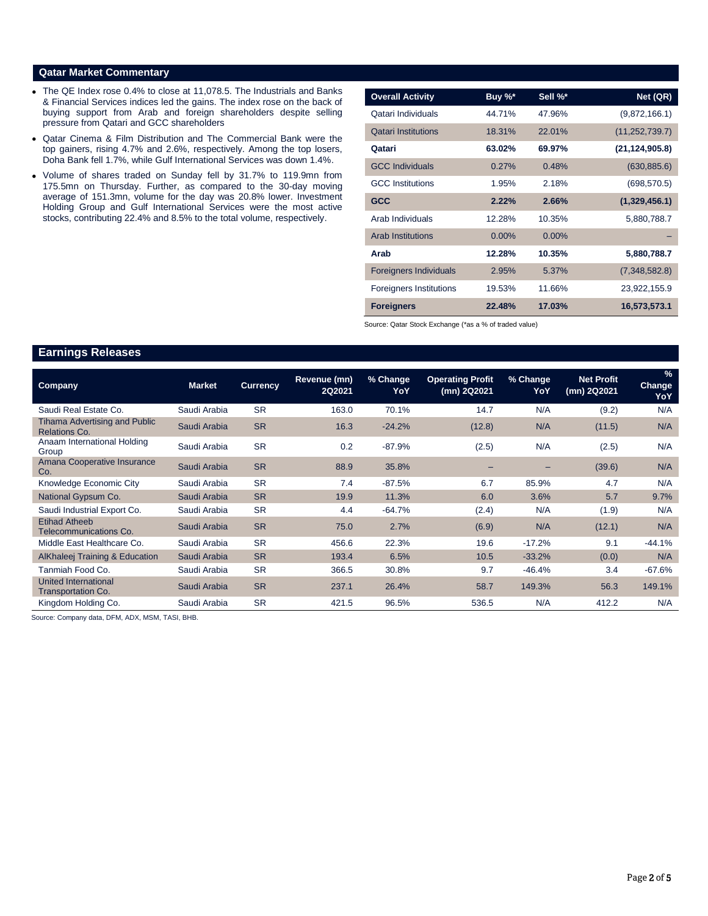# **Qatar Market Commentary**

- The QE Index rose 0.4% to close at 11,078.5. The Industrials and Banks & Financial Services indices led the gains. The index rose on the back of buying support from Arab and foreign shareholders despite selling pressure from Qatari and GCC shareholders
- Qatar Cinema & Film Distribution and The Commercial Bank were the top gainers, rising 4.7% and 2.6%, respectively. Among the top losers, Doha Bank fell 1.7%, while Gulf International Services was down 1.4%.
- Volume of shares traded on Sunday fell by 31.7% to 119.9mn from 175.5mn on Thursday. Further, as compared to the 30-day moving average of 151.3mn, volume for the day was 20.8% lower. Investment Holding Group and Gulf International Services were the most active stocks, contributing 22.4% and 8.5% to the total volume, respectively.

| <b>Overall Activity</b>        | Buy %*   | Sell %*  | Net (QR)         |
|--------------------------------|----------|----------|------------------|
| Oatari Individuals             | 44.71%   | 47.96%   | (9,872,166.1)    |
| <b>Qatari Institutions</b>     | 18.31%   | 22.01%   | (11, 252, 739.7) |
| Qatari                         | 63.02%   | 69.97%   | (21, 124, 905.8) |
| <b>GCC Individuals</b>         | 0.27%    | 0.48%    | (630, 885.6)     |
| <b>GCC</b> Institutions        | 1.95%    | 2.18%    | (698, 570.5)     |
| <b>GCC</b>                     | 2.22%    | 2.66%    | (1,329,456.1)    |
| Arab Individuals               | 12.28%   | 10.35%   | 5,880,788.7      |
| <b>Arab Institutions</b>       | $0.00\%$ | $0.00\%$ |                  |
| Arab                           | 12.28%   | 10.35%   | 5,880,788.7      |
| <b>Foreigners Individuals</b>  | 2.95%    | 5.37%    | (7,348,582.8)    |
| <b>Foreigners Institutions</b> | 19.53%   | 11.66%   | 23,922,155.9     |
| <b>Foreigners</b>              | 22.48%   | 17.03%   | 16,573,573.1     |

Source: Qatar Stock Exchange (\*as a % of traded value)

# **Earnings Releases**

| <b>Company</b>                                        | <b>Market</b> | <b>Currency</b> | Revenue (mn)<br>2Q2021 | % Change<br>YoY | <b>Operating Profit</b><br>(mn) 2Q2021 | % Change<br>YoY          | <b>Net Profit</b><br>(mn) 2Q2021 | $\%$<br><b>Change</b><br>YoY |
|-------------------------------------------------------|---------------|-----------------|------------------------|-----------------|----------------------------------------|--------------------------|----------------------------------|------------------------------|
| Saudi Real Estate Co.                                 | Saudi Arabia  | <b>SR</b>       | 163.0                  | 70.1%           | 14.7                                   | N/A                      | (9.2)                            | N/A                          |
| Tihama Advertising and Public<br><b>Relations Co.</b> | Saudi Arabia  | <b>SR</b>       | 16.3                   | $-24.2%$        | (12.8)                                 | N/A                      | (11.5)                           | N/A                          |
| Anaam International Holding<br>Group                  | Saudi Arabia  | <b>SR</b>       | 0.2                    | $-87.9%$        | (2.5)                                  | N/A                      | (2.5)                            | N/A                          |
| Amana Cooperative Insurance<br>Co.                    | Saudi Arabia  | <b>SR</b>       | 88.9                   | 35.8%           |                                        | $\overline{\phantom{0}}$ | (39.6)                           | N/A                          |
| Knowledge Economic City                               | Saudi Arabia  | <b>SR</b>       | 7.4                    | $-87.5%$        | 6.7                                    | 85.9%                    | 4.7                              | N/A                          |
| National Gypsum Co.                                   | Saudi Arabia  | <b>SR</b>       | 19.9                   | 11.3%           | 6.0                                    | 3.6%                     | 5.7                              | 9.7%                         |
| Saudi Industrial Export Co.                           | Saudi Arabia  | <b>SR</b>       | 4.4                    | $-64.7%$        | (2.4)                                  | N/A                      | (1.9)                            | N/A                          |
| <b>Etihad Atheeb</b><br>Telecommunications Co.        | Saudi Arabia  | <b>SR</b>       | 75.0                   | 2.7%            | (6.9)                                  | N/A                      | (12.1)                           | N/A                          |
| Middle East Healthcare Co.                            | Saudi Arabia  | <b>SR</b>       | 456.6                  | 22.3%           | 19.6                                   | $-17.2%$                 | 9.1                              | $-44.1%$                     |
| <b>AlKhaleej Training &amp; Education</b>             | Saudi Arabia  | <b>SR</b>       | 193.4                  | 6.5%            | 10.5                                   | $-33.2%$                 | (0.0)                            | N/A                          |
| Tanmiah Food Co.                                      | Saudi Arabia  | <b>SR</b>       | 366.5                  | 30.8%           | 9.7                                    | $-46.4%$                 | 3.4                              | $-67.6%$                     |
| United International<br><b>Transportation Co.</b>     | Saudi Arabia  | <b>SR</b>       | 237.1                  | 26.4%           | 58.7                                   | 149.3%                   | 56.3                             | 149.1%                       |
| Kingdom Holding Co.                                   | Saudi Arabia  | <b>SR</b>       | 421.5                  | 96.5%           | 536.5                                  | N/A                      | 412.2                            | N/A                          |

Source: Company data, DFM, ADX, MSM, TASI, BHB.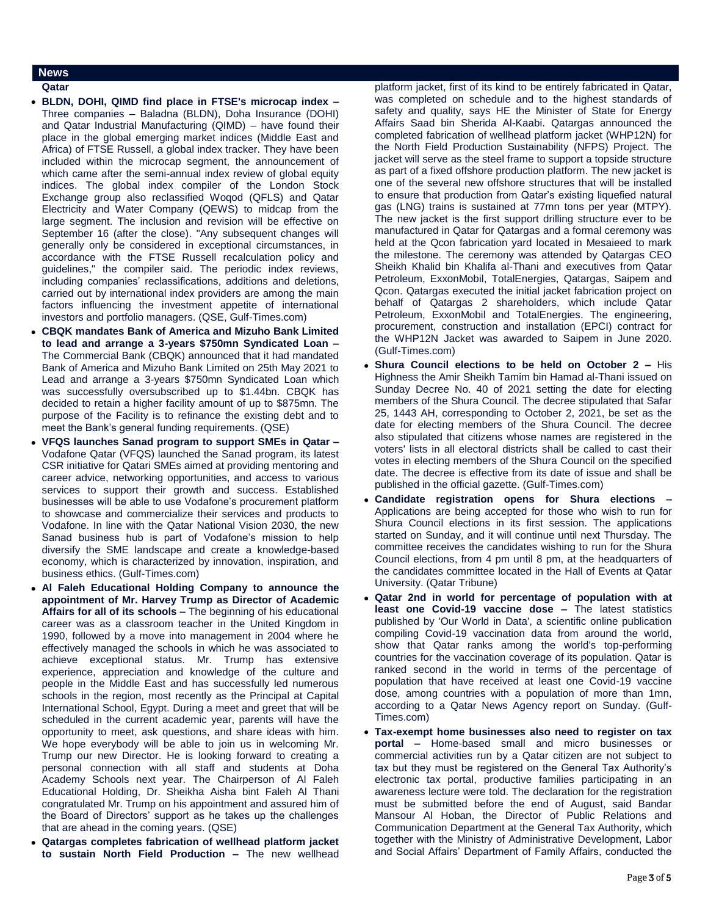# **News**

## **Qatar**

- **BLDN, DOHI, QIMD find place in FTSE's microcap index –** Three companies – Baladna (BLDN), Doha Insurance (DOHI) and Qatar Industrial Manufacturing (QIMD) – have found their place in the global emerging market indices (Middle East and Africa) of FTSE Russell, a global index tracker. They have been included within the microcap segment, the announcement of which came after the semi-annual index review of global equity indices. The global index compiler of the London Stock Exchange group also reclassified Woqod (QFLS) and Qatar Electricity and Water Company (QEWS) to midcap from the large segment. The inclusion and revision will be effective on September 16 (after the close). "Any subsequent changes will generally only be considered in exceptional circumstances, in accordance with the FTSE Russell recalculation policy and guidelines," the compiler said. The periodic index reviews, including companies' reclassifications, additions and deletions, carried out by international index providers are among the main factors influencing the investment appetite of international investors and portfolio managers. (QSE, Gulf-Times.com)
- **CBQK mandates Bank of America and Mizuho Bank Limited to lead and arrange a 3-years \$750mn Syndicated Loan –** The Commercial Bank (CBQK) announced that it had mandated Bank of America and Mizuho Bank Limited on 25th May 2021 to Lead and arrange a 3-years \$750mn Syndicated Loan which was successfully oversubscribed up to \$1.44bn. CBQK has decided to retain a higher facility amount of up to \$875mn. The purpose of the Facility is to refinance the existing debt and to meet the Bank's general funding requirements. (QSE)
- **VFQS launches Sanad program to support SMEs in Qatar –** Vodafone Qatar (VFQS) launched the Sanad program, its latest CSR initiative for Qatari SMEs aimed at providing mentoring and career advice, networking opportunities, and access to various services to support their growth and success. Established businesses will be able to use Vodafone's procurement platform to showcase and commercialize their services and products to Vodafone. In line with the Qatar National Vision 2030, the new Sanad business hub is part of Vodafone's mission to help diversify the SME landscape and create a knowledge-based economy, which is characterized by innovation, inspiration, and business ethics. (Gulf-Times.com)
- **Al Faleh Educational Holding Company to announce the appointment of Mr. Harvey Trump as Director of Academic Affairs for all of its schools –** The beginning of his educational career was as a classroom teacher in the United Kingdom in 1990, followed by a move into management in 2004 where he effectively managed the schools in which he was associated to achieve exceptional status. Mr. Trump has extensive experience, appreciation and knowledge of the culture and people in the Middle East and has successfully led numerous schools in the region, most recently as the Principal at Capital International School, Egypt. During a meet and greet that will be scheduled in the current academic year, parents will have the opportunity to meet, ask questions, and share ideas with him. We hope everybody will be able to join us in welcoming Mr. Trump our new Director. He is looking forward to creating a personal connection with all staff and students at Doha Academy Schools next year. The Chairperson of Al Faleh Educational Holding, Dr. Sheikha Aisha bint Faleh Al Thani congratulated Mr. Trump on his appointment and assured him of the Board of Directors' support as he takes up the challenges that are ahead in the coming years. (QSE)
- **Qatargas completes fabrication of wellhead platform jacket to sustain North Field Production –** The new wellhead

platform jacket, first of its kind to be entirely fabricated in Qatar, was completed on schedule and to the highest standards of safety and quality, says HE the Minister of State for Energy Affairs Saad bin Sherida Al-Kaabi. Qatargas announced the completed fabrication of wellhead platform jacket (WHP12N) for the North Field Production Sustainability (NFPS) Project. The jacket will serve as the steel frame to support a topside structure as part of a fixed offshore production platform. The new jacket is one of the several new offshore structures that will be installed to ensure that production from Qatar's existing liquefied natural gas (LNG) trains is sustained at 77mn tons per year (MTPY). The new jacket is the first support drilling structure ever to be manufactured in Qatar for Qatargas and a formal ceremony was held at the Qcon fabrication yard located in Mesaieed to mark the milestone. The ceremony was attended by Qatargas CEO Sheikh Khalid bin Khalifa al-Thani and executives from Qatar Petroleum, ExxonMobil, TotalEnergies, Qatargas, Saipem and Qcon. Qatargas executed the initial jacket fabrication project on behalf of Qatargas 2 shareholders, which include Qatar Petroleum, ExxonMobil and TotalEnergies. The engineering, procurement, construction and installation (EPCI) contract for the WHP12N Jacket was awarded to Saipem in June 2020. (Gulf-Times.com)

- **Shura Council elections to be held on October 2 –** His Highness the Amir Sheikh Tamim bin Hamad al-Thani issued on Sunday Decree No. 40 of 2021 setting the date for electing members of the Shura Council. The decree stipulated that Safar 25, 1443 AH, corresponding to October 2, 2021, be set as the date for electing members of the Shura Council. The decree also stipulated that citizens whose names are registered in the voters' lists in all electoral districts shall be called to cast their votes in electing members of the Shura Council on the specified date. The decree is effective from its date of issue and shall be published in the official gazette. (Gulf-Times.com)
- **Candidate registration opens for Shura elections –** Applications are being accepted for those who wish to run for Shura Council elections in its first session. The applications started on Sunday, and it will continue until next Thursday. The committee receives the candidates wishing to run for the Shura Council elections, from 4 pm until 8 pm, at the headquarters of the candidates committee located in the Hall of Events at Qatar University. (Qatar Tribune)
- **Qatar 2nd in world for percentage of population with at least one Covid-19 vaccine dose –** The latest statistics published by 'Our World in Data', a scientific online publication compiling Covid-19 vaccination data from around the world, show that Qatar ranks among the world's top-performing countries for the vaccination coverage of its population. Qatar is ranked second in the world in terms of the percentage of population that have received at least one Covid-19 vaccine dose, among countries with a population of more than 1mn, according to a Qatar News Agency report on Sunday. (Gulf-Times.com)
- **Tax-exempt home businesses also need to register on tax portal –** Home-based small and micro businesses or commercial activities run by a Qatar citizen are not subject to tax but they must be registered on the General Tax Authority's electronic tax portal, productive families participating in an awareness lecture were told. The declaration for the registration must be submitted before the end of August, said Bandar Mansour Al Hoban, the Director of Public Relations and Communication Department at the General Tax Authority, which together with the Ministry of Administrative Development, Labor and Social Affairs' Department of Family Affairs, conducted the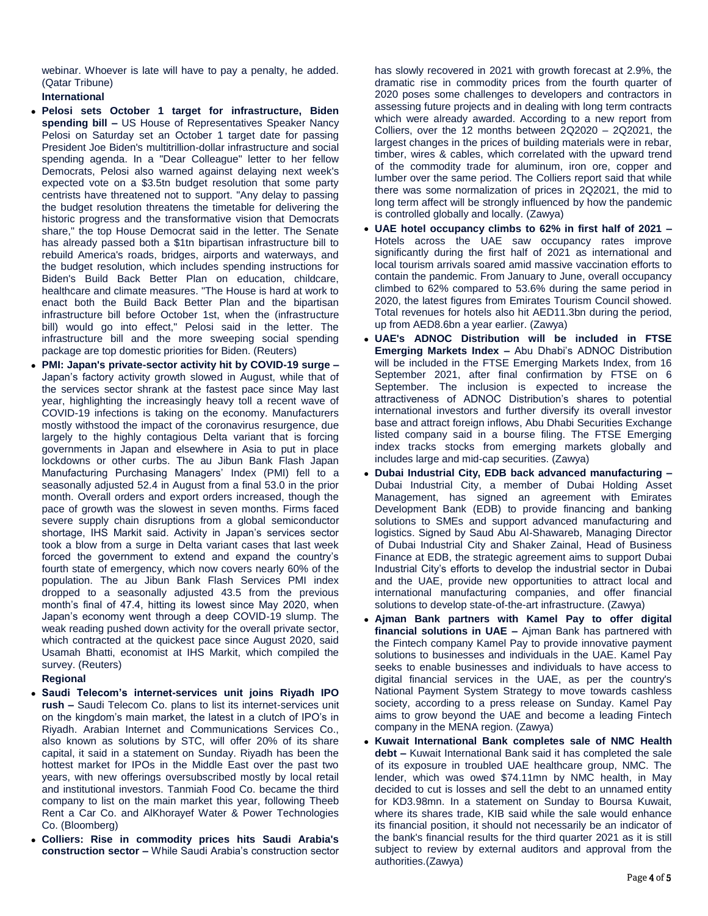webinar. Whoever is late will have to pay a penalty, he added. (Qatar Tribune)

# **International**

- **Pelosi sets October 1 target for infrastructure, Biden spending bill –** US House of Representatives Speaker Nancy Pelosi on Saturday set an October 1 target date for passing President Joe Biden's multitrillion-dollar infrastructure and social spending agenda. In a "Dear Colleague" letter to her fellow Democrats, Pelosi also warned against delaying next week's expected vote on a \$3.5tn budget resolution that some party centrists have threatened not to support. "Any delay to passing the budget resolution threatens the timetable for delivering the historic progress and the transformative vision that Democrats share," the top House Democrat said in the letter. The Senate has already passed both a \$1tn bipartisan infrastructure bill to rebuild America's roads, bridges, airports and waterways, and the budget resolution, which includes spending instructions for Biden's Build Back Better Plan on education, childcare, healthcare and climate measures. "The House is hard at work to enact both the Build Back Better Plan and the bipartisan infrastructure bill before October 1st, when the (infrastructure bill) would go into effect," Pelosi said in the letter. The infrastructure bill and the more sweeping social spending package are top domestic priorities for Biden. (Reuters)
- **PMI: Japan's private-sector activity hit by COVID-19 surge –** Japan's factory activity growth slowed in August, while that of the services sector shrank at the fastest pace since May last year, highlighting the increasingly heavy toll a recent wave of COVID-19 infections is taking on the economy. Manufacturers mostly withstood the impact of the coronavirus resurgence, due largely to the highly contagious Delta variant that is forcing governments in Japan and elsewhere in Asia to put in place lockdowns or other curbs. The au Jibun Bank Flash Japan Manufacturing Purchasing Managers' Index (PMI) fell to a seasonally adjusted 52.4 in August from a final 53.0 in the prior month. Overall orders and export orders increased, though the pace of growth was the slowest in seven months. Firms faced severe supply chain disruptions from a global semiconductor shortage, IHS Markit said. Activity in Japan's services sector took a blow from a surge in Delta variant cases that last week forced the government to extend and expand the country's fourth state of emergency, which now covers nearly 60% of the population. The au Jibun Bank Flash Services PMI index dropped to a seasonally adjusted 43.5 from the previous month's final of 47.4, hitting its lowest since May 2020, when Japan's economy went through a deep COVID-19 slump. The weak reading pushed down activity for the overall private sector, which contracted at the quickest pace since August 2020, said Usamah Bhatti, economist at IHS Markit, which compiled the survey. (Reuters)

# **Regional**

- **Saudi Telecom's internet-services unit joins Riyadh IPO rush –** Saudi Telecom Co. plans to list its internet-services unit on the kingdom's main market, the latest in a clutch of IPO's in Riyadh. Arabian Internet and Communications Services Co., also known as solutions by STC, will offer 20% of its share capital, it said in a statement on Sunday. Riyadh has been the hottest market for IPOs in the Middle East over the past two years, with new offerings oversubscribed mostly by local retail and institutional investors. Tanmiah Food Co. became the third company to list on the main market this year, following Theeb Rent a Car Co. and AlKhorayef Water & Power Technologies Co. (Bloomberg)
- **Colliers: Rise in commodity prices hits Saudi Arabia's construction sector –** While Saudi Arabia's construction sector

has slowly recovered in 2021 with growth forecast at 2.9%, the dramatic rise in commodity prices from the fourth quarter of 2020 poses some challenges to developers and contractors in assessing future projects and in dealing with long term contracts which were already awarded. According to a new report from Colliers, over the 12 months between 2Q2020 – 2Q2021, the largest changes in the prices of building materials were in rebar, timber, wires & cables, which correlated with the upward trend of the commodity trade for aluminum, iron ore, copper and lumber over the same period. The Colliers report said that while there was some normalization of prices in 2Q2021, the mid to long term affect will be strongly influenced by how the pandemic is controlled globally and locally. (Zawya)

- **UAE hotel occupancy climbs to 62% in first half of 2021 –** Hotels across the UAE saw occupancy rates improve significantly during the first half of 2021 as international and local tourism arrivals soared amid massive vaccination efforts to contain the pandemic. From January to June, overall occupancy climbed to 62% compared to 53.6% during the same period in 2020, the latest figures from Emirates Tourism Council showed. Total revenues for hotels also hit AED11.3bn during the period, up from AED8.6bn a year earlier. (Zawya)
- **UAE's ADNOC Distribution will be included in FTSE Emerging Markets Index –** Abu Dhabi's ADNOC Distribution will be included in the FTSE Emerging Markets Index, from 16 September 2021, after final confirmation by FTSE on 6 September. The inclusion is expected to increase the attractiveness of ADNOC Distribution's shares to potential international investors and further diversify its overall investor base and attract foreign inflows, Abu Dhabi Securities Exchange listed company said in a bourse filing. The FTSE Emerging index tracks stocks from emerging markets globally and includes large and mid-cap securities. (Zawya)
- **Dubai Industrial City, EDB back advanced manufacturing –** Dubai Industrial City, a member of Dubai Holding Asset Management, has signed an agreement with Emirates Development Bank (EDB) to provide financing and banking solutions to SMEs and support advanced manufacturing and logistics. Signed by Saud Abu Al-Shawareb, Managing Director of Dubai Industrial City and Shaker Zainal, Head of Business Finance at EDB, the strategic agreement aims to support Dubai Industrial City's efforts to develop the industrial sector in Dubai and the UAE, provide new opportunities to attract local and international manufacturing companies, and offer financial solutions to develop state-of-the-art infrastructure. (Zawya)
- **Ajman Bank partners with Kamel Pay to offer digital financial solutions in UAE –** Ajman Bank has partnered with the Fintech company Kamel Pay to provide innovative payment solutions to businesses and individuals in the UAE. Kamel Pay seeks to enable businesses and individuals to have access to digital financial services in the UAE, as per the country's National Payment System Strategy to move towards cashless society, according to a press release on Sunday. Kamel Pay aims to grow beyond the UAE and become a leading Fintech company in the MENA region. (Zawya)
- **Kuwait International Bank completes sale of NMC Health debt –** Kuwait International Bank said it has completed the sale of its exposure in troubled UAE healthcare group, NMC. The lender, which was owed \$74.11mn by NMC health, in May decided to cut is losses and sell the debt to an unnamed entity for KD3.98mn. In a statement on Sunday to Boursa Kuwait, where its shares trade, KIB said while the sale would enhance its financial position, it should not necessarily be an indicator of the bank's financial results for the third quarter 2021 as it is still subject to review by external auditors and approval from the authorities.(Zawya)